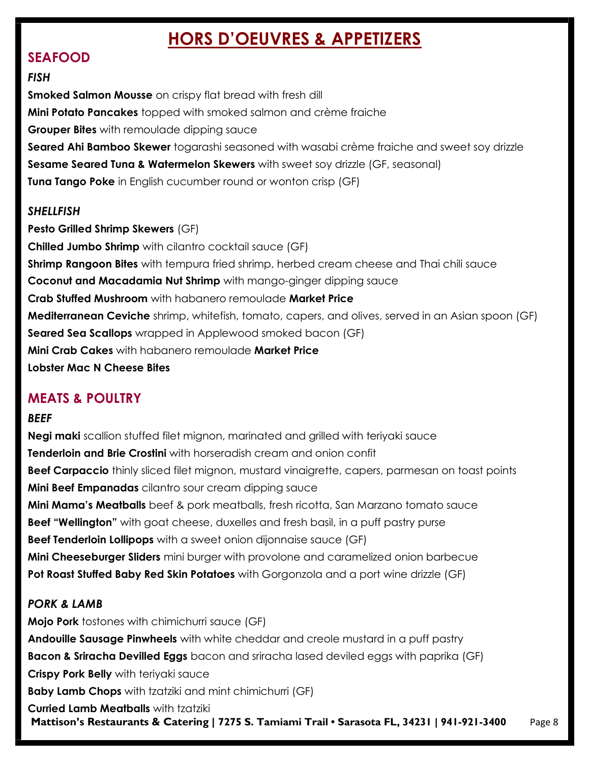# HORS D'OEUVRES & APPETIZERS

# SEAFOOD

#### **FISH**

Smoked Salmon Mousse on crispy flat bread with fresh dill Mini Potato Pancakes topped with smoked salmon and crème fraiche **Grouper Bites** with remoulade dipping sauce Seared Ahi Bamboo Skewer togarashi seasoned with wasabi crème fraiche and sweet soy drizzle Sesame Seared Tuna & Watermelon Skewers with sweet soy drizzle (GF, seasonal) **Tuna Tango Poke** in English cucumber round or wonton crisp (GF)

#### **SHELLFISH**

Pesto Grilled Shrimp Skewers (GF) Chilled Jumbo Shrimp with cilantro cocktail sauce (GF) **Shrimp Rangoon Bites** with tempura fried shrimp, herbed cream cheese and Thai chili sauce Coconut and Macadamia Nut Shrimp with mango-ginger dipping sauce Crab Stuffed Mushroom with habanero remoulade Market Price Mediterranean Ceviche shrimp, whitefish, tomato, capers, and olives, served in an Asian spoon (GF) Seared Sea Scallops wrapped in Applewood smoked bacon (GF) Mini Crab Cakes with habanero remoulade Market Price Lobster Mac N Cheese Bites

# MEATS & POULTRY

## **BEEF**

Negi maki scallion stuffed filet mignon, marinated and grilled with teriyaki sauce **Tenderloin and Brie Crostini** with horseradish cream and onion confit **Beef Carpaccio** thinly sliced filet mignon, mustard vinaigrette, capers, parmesan on toast points Mini Beef Empanadas cilantro sour cream dipping sauce **Mini Mama's Meatballs** beef & pork meatballs, fresh ricotta, San Marzano tomato sauce **Beef "Wellington"** with goat cheese, duxelles and fresh basil, in a puff pastry purse Beef Tenderloin Lollipops with a sweet onion dijonnaise sauce (GF) **Mini Cheeseburger Sliders** mini burger with provolone and caramelized onion barbecue Pot Roast Stuffed Baby Red Skin Potatoes with Gorgonzola and a port wine drizzle (GF)

## PORK & LAMB

Mattison's Restaurants & Catering | 7275 S. Tamiami Trail • Sarasota FL, 34231 | 941-921-3400 Page 8 Mojo Pork tostones with chimichurri sauce (GF) Andouille Sausage Pinwheels with white cheddar and creole mustard in a puff pastry **Bacon & Sriracha Devilled Eggs** bacon and sriracha lased deviled eggs with paprika (GF) Crispy Pork Belly with teriyaki sauce **Baby Lamb Chops** with tzatziki and mint chimichurri (GF) Curried Lamb Meatballs with tzatziki